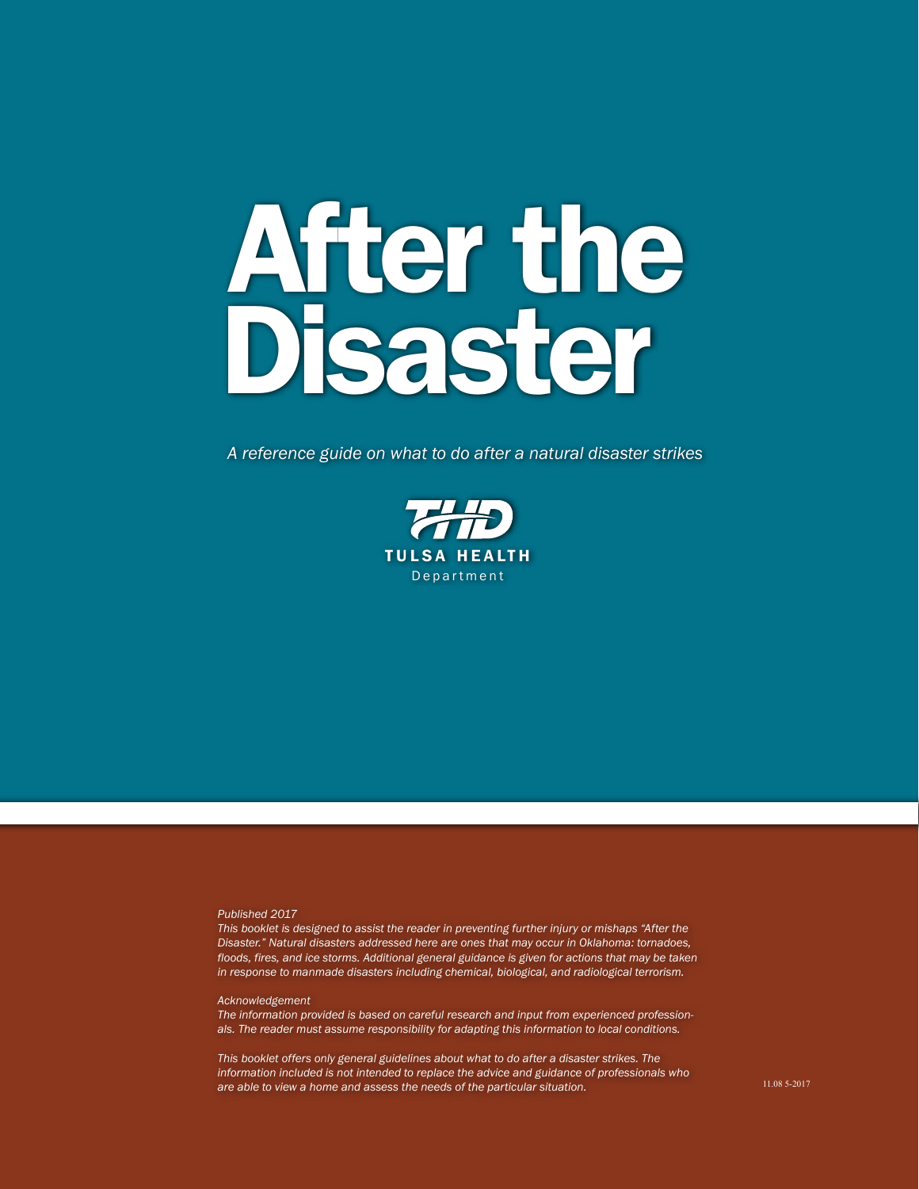# After the Disaster

*A reference guide on what to do after a natural disaster strikes*



#### *Published 2017*

*This booklet is designed to assist the reader in preventing further injury or mishaps "After the Disaster." Natural disasters addressed here are ones that may occur in Oklahoma: tornadoes, floods, fires, and ice storms. Additional general guidance is given for actions that may be taken in response to manmade disasters including chemical, biological, and radiological terrorism.*

#### *Acknowledgement*

*The information provided is based on careful research and input from experienced professionals. The reader must assume responsibility for adapting this information to local conditions.*

*This booklet offers only general guidelines about what to do after a disaster strikes. The information included is not intended to replace the advice and guidance of professionals who are able to view a home and assess the needs of the particular situation.*

11.08 5-2017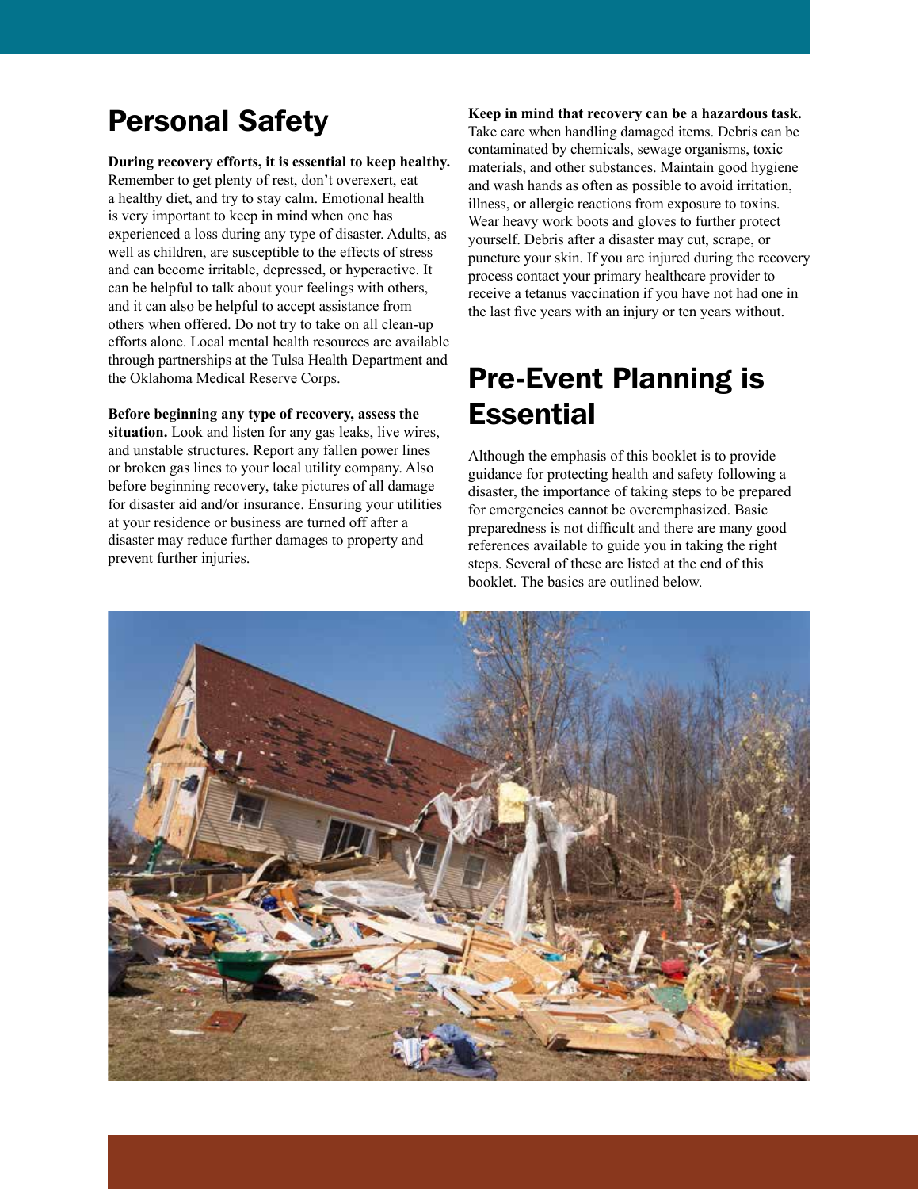## Personal Safety

**During recovery efforts, it is essential to keep healthy.** Remember to get plenty of rest, don't overexert, eat a healthy diet, and try to stay calm. Emotional health is very important to keep in mind when one has experienced a loss during any type of disaster. Adults, as well as children, are susceptible to the effects of stress and can become irritable, depressed, or hyperactive. It can be helpful to talk about your feelings with others, and it can also be helpful to accept assistance from others when offered. Do not try to take on all clean-up efforts alone. Local mental health resources are available through partnerships at the Tulsa Health Department and the Oklahoma Medical Reserve Corps.

**Before beginning any type of recovery, assess the situation.** Look and listen for any gas leaks, live wires, and unstable structures. Report any fallen power lines or broken gas lines to your local utility company. Also before beginning recovery, take pictures of all damage for disaster aid and/or insurance. Ensuring your utilities at your residence or business are turned off after a disaster may reduce further damages to property and prevent further injuries.

## **Keep in mind that recovery can be a hazardous task.** Take care when handling damaged items. Debris can be contaminated by chemicals, sewage organisms, toxic materials, and other substances. Maintain good hygiene and wash hands as often as possible to avoid irritation, illness, or allergic reactions from exposure to toxins. Wear heavy work boots and gloves to further protect yourself. Debris after a disaster may cut, scrape, or puncture your skin. If you are injured during the recovery process contact your primary healthcare provider to receive a tetanus vaccination if you have not had one in the last five years with an injury or ten years without.

# Pre-Event Planning is **Essential**

Although the emphasis of this booklet is to provide guidance for protecting health and safety following a disaster, the importance of taking steps to be prepared for emergencies cannot be overemphasized. Basic preparedness is not difficult and there are many good references available to guide you in taking the right steps. Several of these are listed at the end of this booklet. The basics are outlined below.

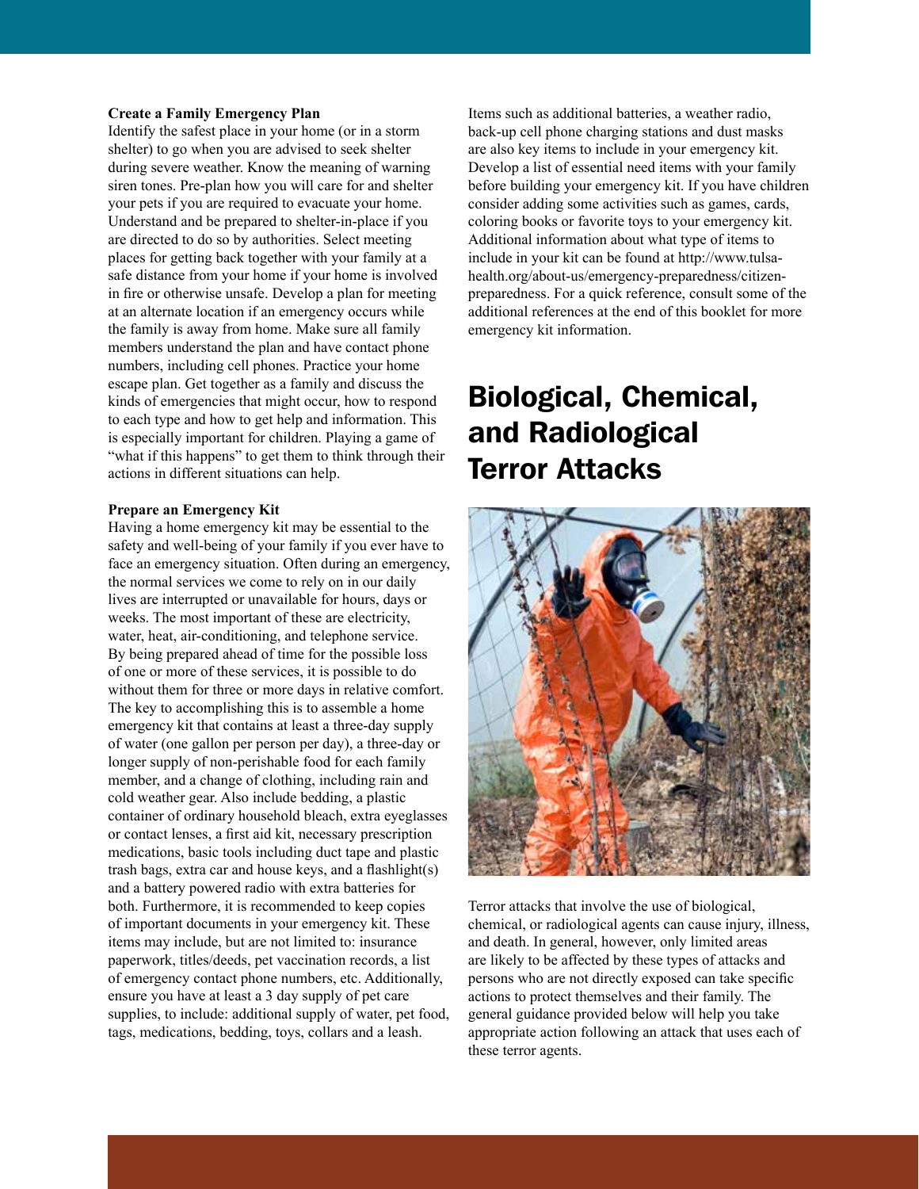#### **Create a Family Emergency Plan**

Identify the safest place in your home (or in a storm shelter) to go when you are advised to seek shelter during severe weather. Know the meaning of warning siren tones. Pre-plan how you will care for and shelter your pets if you are required to evacuate your home. Understand and be prepared to shelter-in-place if you are directed to do so by authorities. Select meeting places for getting back together with your family at a safe distance from your home if your home is involved in fire or otherwise unsafe. Develop a plan for meeting at an alternate location if an emergency occurs while the family is away from home. Make sure all family members understand the plan and have contact phone numbers, including cell phones. Practice your home escape plan. Get together as a family and discuss the kinds of emergencies that might occur, how to respond to each type and how to get help and information. This is especially important for children. Playing a game of "what if this happens" to get them to think through their actions in different situations can help.

#### **Prepare an Emergency Kit**

Having a home emergency kit may be essential to the safety and well-being of your family if you ever have to face an emergency situation. Often during an emergency, the normal services we come to rely on in our daily lives are interrupted or unavailable for hours, days or weeks. The most important of these are electricity, water, heat, air-conditioning, and telephone service. By being prepared ahead of time for the possible loss of one or more of these services, it is possible to do without them for three or more days in relative comfort. The key to accomplishing this is to assemble a home emergency kit that contains at least a three-day supply of water (one gallon per person per day), a three-day or longer supply of non-perishable food for each family member, and a change of clothing, including rain and cold weather gear. Also include bedding, a plastic container of ordinary household bleach, extra eyeglasses or contact lenses, a first aid kit, necessary prescription medications, basic tools including duct tape and plastic trash bags, extra car and house keys, and a flashlight(s) and a battery powered radio with extra batteries for both. Furthermore, it is recommended to keep copies of important documents in your emergency kit. These items may include, but are not limited to: insurance paperwork, titles/deeds, pet vaccination records, a list of emergency contact phone numbers, etc. Additionally, ensure you have at least a 3 day supply of pet care supplies, to include: additional supply of water, pet food, tags, medications, bedding, toys, collars and a leash.

Items such as additional batteries, a weather radio, back-up cell phone charging stations and dust masks are also key items to include in your emergency kit. Develop a list of essential need items with your family before building your emergency kit. If you have children consider adding some activities such as games, cards, coloring books or favorite toys to your emergency kit. Additional information about what type of items to include in your kit can be found at http://www.tulsahealth.org/about-us/emergency-preparedness/citizenpreparedness. For a quick reference, consult some of the additional references at the end of this booklet for more emergency kit information.

# Biological, Chemical, and Radiological Terror Attacks



Terror attacks that involve the use of biological, chemical, or radiological agents can cause injury, illness, and death. In general, however, only limited areas are likely to be affected by these types of attacks and persons who are not directly exposed can take specific actions to protect themselves and their family. The general guidance provided below will help you take appropriate action following an attack that uses each of these terror agents.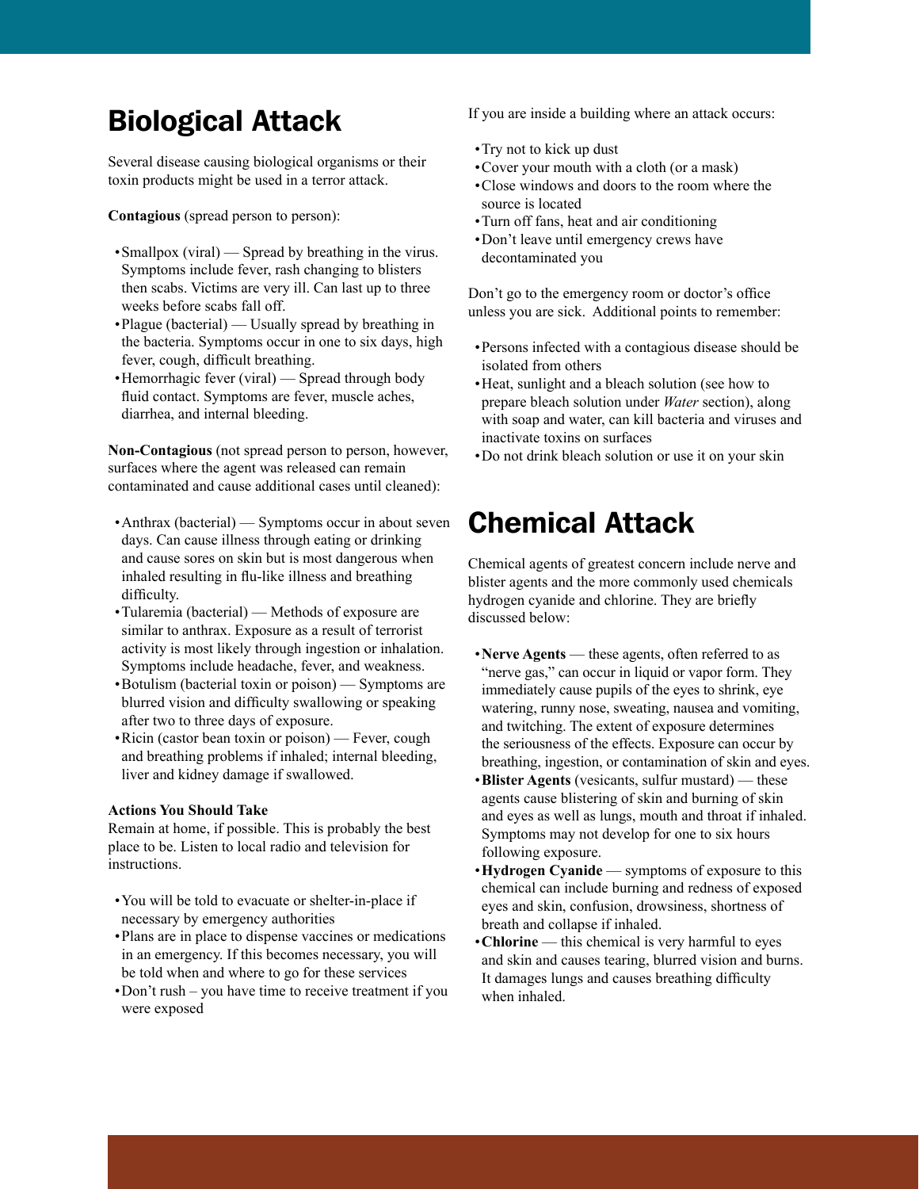## Biological Attack

Several disease causing biological organisms or their toxin products might be used in a terror attack.

**Contagious** (spread person to person):

- Smallpox (viral) Spread by breathing in the virus. Symptoms include fever, rash changing to blisters then scabs. Victims are very ill. Can last up to three weeks before scabs fall off.
- •Plague (bacterial) Usually spread by breathing in the bacteria. Symptoms occur in one to six days, high fever, cough, difficult breathing.
- •Hemorrhagic fever (viral) Spread through body fluid contact. Symptoms are fever, muscle aches, diarrhea, and internal bleeding.

**Non-Contagious** (not spread person to person, however, surfaces where the agent was released can remain contaminated and cause additional cases until cleaned):

- •Anthrax (bacterial) Symptoms occur in about seven days. Can cause illness through eating or drinking and cause sores on skin but is most dangerous when inhaled resulting in flu-like illness and breathing difficulty.
- •Tularemia (bacterial) Methods of exposure are similar to anthrax. Exposure as a result of terrorist activity is most likely through ingestion or inhalation. Symptoms include headache, fever, and weakness.
- •Botulism (bacterial toxin or poison) Symptoms are blurred vision and difficulty swallowing or speaking after two to three days of exposure.
- •Ricin (castor bean toxin or poison) Fever, cough and breathing problems if inhaled; internal bleeding, liver and kidney damage if swallowed.

## **Actions You Should Take**

Remain at home, if possible. This is probably the best place to be. Listen to local radio and television for instructions.

- •You will be told to evacuate or shelter-in-place if necessary by emergency authorities
- •Plans are in place to dispense vaccines or medications in an emergency. If this becomes necessary, you will be told when and where to go for these services
- •Don't rush you have time to receive treatment if you were exposed

If you are inside a building where an attack occurs:

- •Try not to kick up dust
- •Cover your mouth with a cloth (or a mask)
- •Close windows and doors to the room where the source is located
- •Turn off fans, heat and air conditioning
- •Don't leave until emergency crews have decontaminated you

Don't go to the emergency room or doctor's office unless you are sick. Additional points to remember:

- •Persons infected with a contagious disease should be isolated from others
- •Heat, sunlight and a bleach solution (see how to prepare bleach solution under *Water* section), along with soap and water, can kill bacteria and viruses and inactivate toxins on surfaces
- •Do not drink bleach solution or use it on your skin

## Chemical Attack

Chemical agents of greatest concern include nerve and blister agents and the more commonly used chemicals hydrogen cyanide and chlorine. They are briefly discussed below:

- •**Nerve Agents** these agents, often referred to as "nerve gas," can occur in liquid or vapor form. They immediately cause pupils of the eyes to shrink, eye watering, runny nose, sweating, nausea and vomiting, and twitching. The extent of exposure determines the seriousness of the effects. Exposure can occur by breathing, ingestion, or contamination of skin and eyes.
- •**Blister Agents** (vesicants, sulfur mustard) these agents cause blistering of skin and burning of skin and eyes as well as lungs, mouth and throat if inhaled. Symptoms may not develop for one to six hours following exposure.
- •**Hydrogen Cyanide** symptoms of exposure to this chemical can include burning and redness of exposed eyes and skin, confusion, drowsiness, shortness of breath and collapse if inhaled.
- •**Chlorine** this chemical is very harmful to eyes and skin and causes tearing, blurred vision and burns. It damages lungs and causes breathing difficulty when inhaled.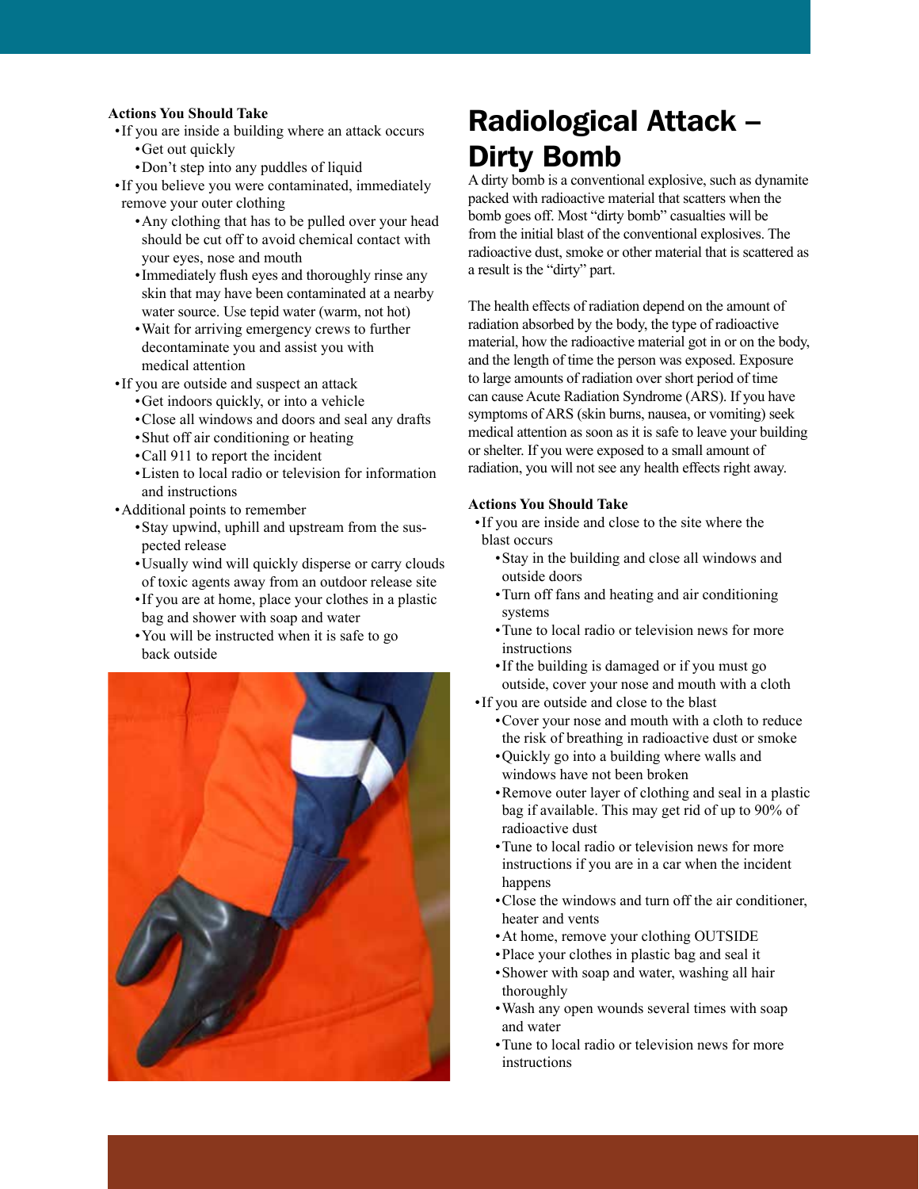#### **Actions You Should Take**

- •If you are inside a building where an attack occurs •Get out quickly
	- •Don't step into any puddles of liquid

•If you believe you were contaminated, immediately remove your outer clothing

- •Any clothing that has to be pulled over your head should be cut off to avoid chemical contact with your eyes, nose and mouth
- •Immediately flush eyes and thoroughly rinse any skin that may have been contaminated at a nearby water source. Use tepid water (warm, not hot)
- •Wait for arriving emergency crews to further decontaminate you and assist you with medical attention

•If you are outside and suspect an attack

- •Get indoors quickly, or into a vehicle
- •Close all windows and doors and seal any drafts
- •Shut off air conditioning or heating
- •Call 911 to report the incident
- •Listen to local radio or television for information and instructions
- •Additional points to remember
	- •Stay upwind, uphill and upstream from the suspected release
	- •Usually wind will quickly disperse or carry clouds of toxic agents away from an outdoor release site
	- •If you are at home, place your clothes in a plastic bag and shower with soap and water
	- •You will be instructed when it is safe to go back outside



## Radiological Attack – Dirty Bomb

A dirty bomb is a conventional explosive, such as dynamite packed with radioactive material that scatters when the bomb goes off. Most "dirty bomb" casualties will be from the initial blast of the conventional explosives. The radioactive dust, smoke or other material that is scattered as a result is the "dirty" part.

The health effects of radiation depend on the amount of radiation absorbed by the body, the type of radioactive material, how the radioactive material got in or on the body, and the length of time the person was exposed. Exposure to large amounts of radiation over short period of time can cause Acute Radiation Syndrome (ARS). If you have symptoms of ARS (skin burns, nausea, or vomiting) seek medical attention as soon as it is safe to leave your building or shelter. If you were exposed to a small amount of radiation, you will not see any health effects right away.

## **Actions You Should Take**

- •If you are inside and close to the site where the blast occurs
	- •Stay in the building and close all windows and outside doors
	- •Turn off fans and heating and air conditioning systems
	- •Tune to local radio or television news for more instructions
	- •If the building is damaged or if you must go outside, cover your nose and mouth with a cloth
- •If you are outside and close to the blast
	- •Cover your nose and mouth with a cloth to reduce the risk of breathing in radioactive dust or smoke
	- •Quickly go into a building where walls and windows have not been broken
	- •Remove outer layer of clothing and seal in a plastic bag if available. This may get rid of up to 90% of radioactive dust
	- •Tune to local radio or television news for more instructions if you are in a car when the incident happens
	- •Close the windows and turn off the air conditioner, heater and vents
	- •At home, remove your clothing OUTSIDE
	- •Place your clothes in plastic bag and seal it
	- •Shower with soap and water, washing all hair thoroughly
	- •Wash any open wounds several times with soap and water
	- •Tune to local radio or television news for more instructions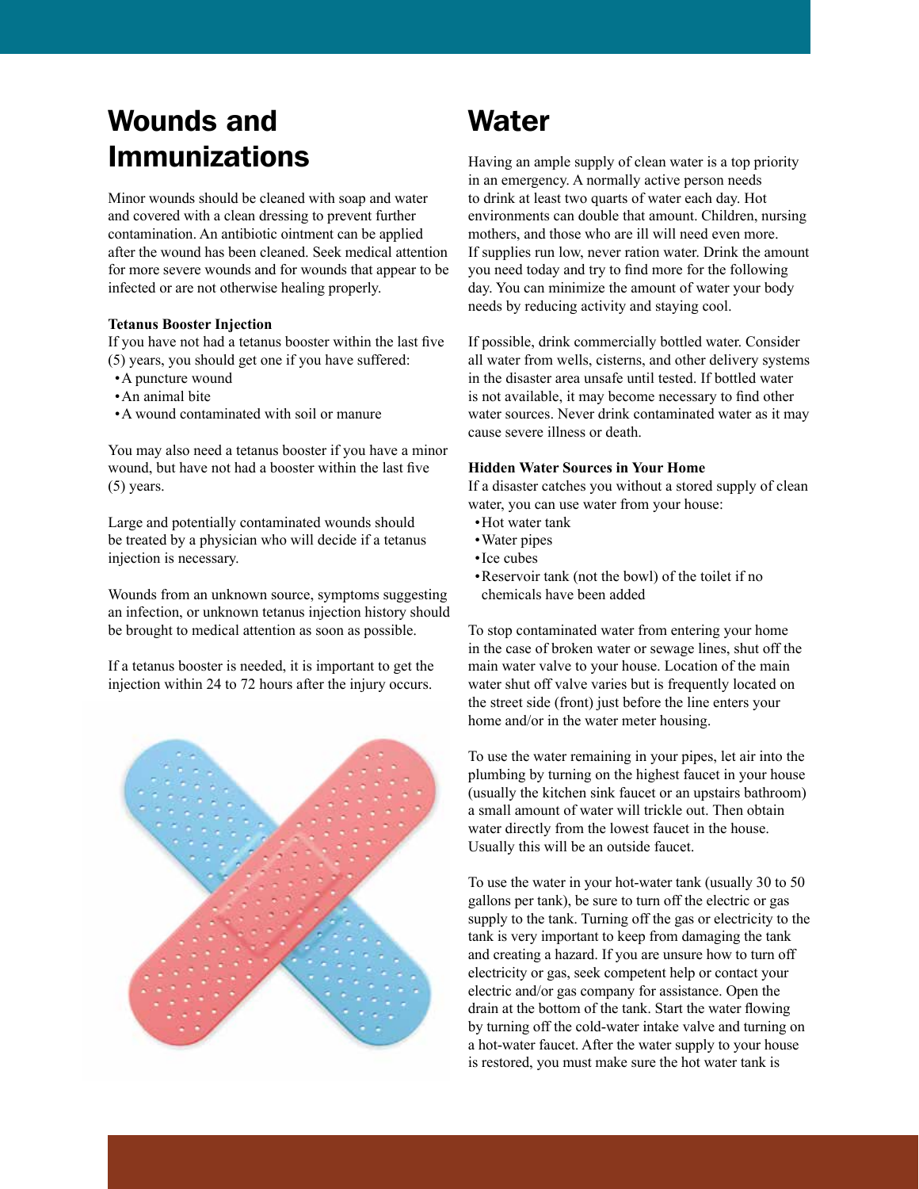# Wounds and Immunizations

Minor wounds should be cleaned with soap and water and covered with a clean dressing to prevent further contamination. An antibiotic ointment can be applied after the wound has been cleaned. Seek medical attention for more severe wounds and for wounds that appear to be infected or are not otherwise healing properly.

#### **Tetanus Booster Injection**

If you have not had a tetanus booster within the last five (5) years, you should get one if you have suffered:

- •A puncture wound
- •An animal bite
- •A wound contaminated with soil or manure

You may also need a tetanus booster if you have a minor wound, but have not had a booster within the last five (5) years.

Large and potentially contaminated wounds should be treated by a physician who will decide if a tetanus injection is necessary.

Wounds from an unknown source, symptoms suggesting an infection, or unknown tetanus injection history should be brought to medical attention as soon as possible.

If a tetanus booster is needed, it is important to get the injection within 24 to 72 hours after the injury occurs.



# **Water**

Having an ample supply of clean water is a top priority in an emergency. A normally active person needs to drink at least two quarts of water each day. Hot environments can double that amount. Children, nursing mothers, and those who are ill will need even more. If supplies run low, never ration water. Drink the amount you need today and try to find more for the following day. You can minimize the amount of water your body needs by reducing activity and staying cool.

If possible, drink commercially bottled water. Consider all water from wells, cisterns, and other delivery systems in the disaster area unsafe until tested. If bottled water is not available, it may become necessary to find other water sources. Never drink contaminated water as it may cause severe illness or death.

## **Hidden Water Sources in Your Home**

If a disaster catches you without a stored supply of clean water, you can use water from your house:

- •Hot water tank
- •Water pipes
- •Ice cubes
- •Reservoir tank (not the bowl) of the toilet if no chemicals have been added

To stop contaminated water from entering your home in the case of broken water or sewage lines, shut off the main water valve to your house. Location of the main water shut off valve varies but is frequently located on the street side (front) just before the line enters your home and/or in the water meter housing.

To use the water remaining in your pipes, let air into the plumbing by turning on the highest faucet in your house (usually the kitchen sink faucet or an upstairs bathroom) a small amount of water will trickle out. Then obtain water directly from the lowest faucet in the house. Usually this will be an outside faucet.

To use the water in your hot-water tank (usually 30 to 50 gallons per tank), be sure to turn off the electric or gas supply to the tank. Turning off the gas or electricity to the tank is very important to keep from damaging the tank and creating a hazard. If you are unsure how to turn off electricity or gas, seek competent help or contact your electric and/or gas company for assistance. Open the drain at the bottom of the tank. Start the water flowing by turning off the cold-water intake valve and turning on a hot-water faucet. After the water supply to your house is restored, you must make sure the hot water tank is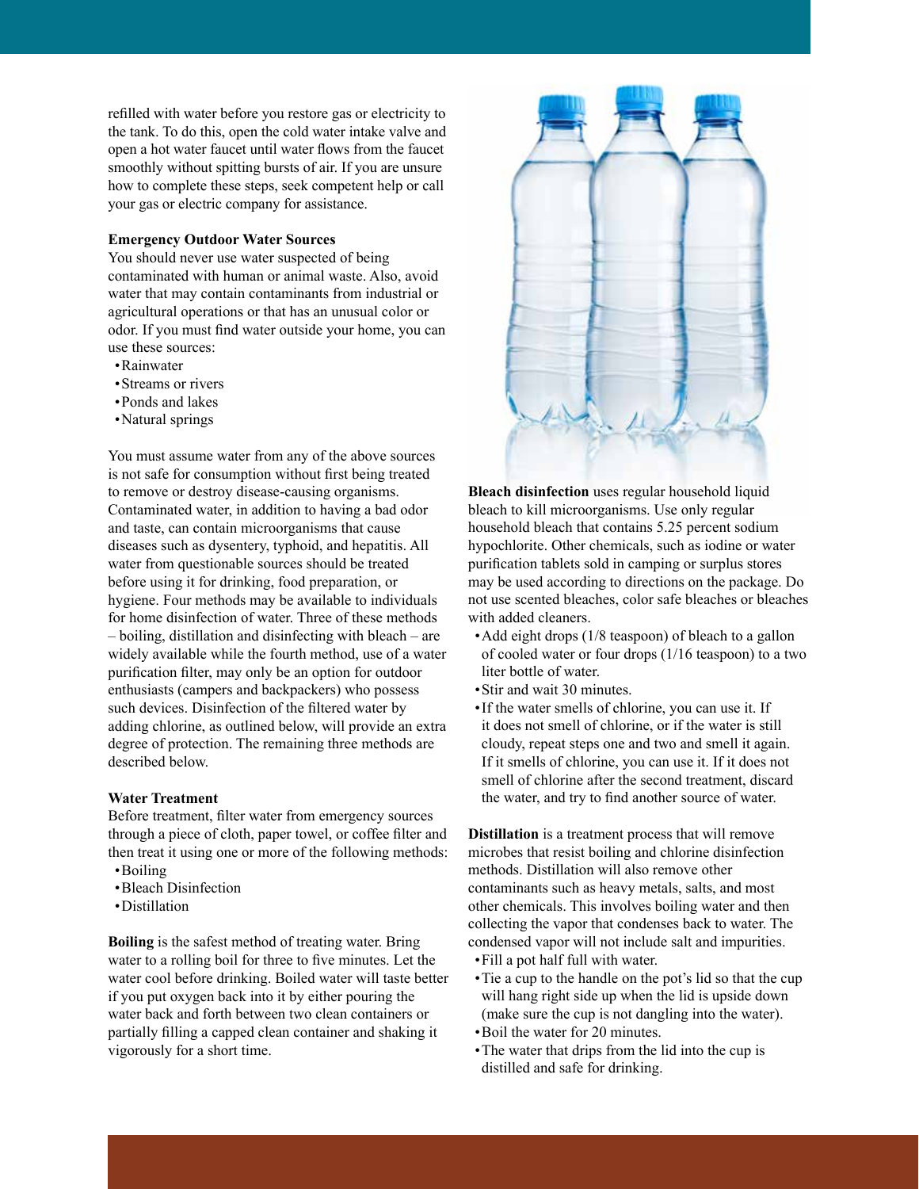refilled with water before you restore gas or electricity to the tank. To do this, open the cold water intake valve and open a hot water faucet until water flows from the faucet smoothly without spitting bursts of air. If you are unsure how to complete these steps, seek competent help or call your gas or electric company for assistance.

## **Emergency Outdoor Water Sources**

You should never use water suspected of being contaminated with human or animal waste. Also, avoid water that may contain contaminants from industrial or agricultural operations or that has an unusual color or odor. If you must find water outside your home, you can use these sources:

- •Rainwater
- •Streams or rivers
- •Ponds and lakes
- •Natural springs

You must assume water from any of the above sources is not safe for consumption without first being treated to remove or destroy disease-causing organisms. Contaminated water, in addition to having a bad odor and taste, can contain microorganisms that cause diseases such as dysentery, typhoid, and hepatitis. All water from questionable sources should be treated before using it for drinking, food preparation, or hygiene. Four methods may be available to individuals for home disinfection of water. Three of these methods – boiling, distillation and disinfecting with bleach – are widely available while the fourth method, use of a water purification filter, may only be an option for outdoor enthusiasts (campers and backpackers) who possess such devices. Disinfection of the filtered water by adding chlorine, as outlined below, will provide an extra degree of protection. The remaining three methods are described below.

#### **Water Treatment**

Before treatment, filter water from emergency sources through a piece of cloth, paper towel, or coffee filter and then treat it using one or more of the following methods: •Boiling

- •Bleach Disinfection
- •Distillation
- 

**Boiling** is the safest method of treating water. Bring water to a rolling boil for three to five minutes. Let the water cool before drinking. Boiled water will taste better if you put oxygen back into it by either pouring the water back and forth between two clean containers or partially filling a capped clean container and shaking it vigorously for a short time.



**Bleach disinfection** uses regular household liquid bleach to kill microorganisms. Use only regular household bleach that contains 5.25 percent sodium hypochlorite. Other chemicals, such as iodine or water purification tablets sold in camping or surplus stores may be used according to directions on the package. Do not use scented bleaches, color safe bleaches or bleaches with added cleaners.

- •Add eight drops (1/8 teaspoon) of bleach to a gallon of cooled water or four drops (1/16 teaspoon) to a two liter bottle of water.
- •Stir and wait 30 minutes.
- •If the water smells of chlorine, you can use it. If it does not smell of chlorine, or if the water is still cloudy, repeat steps one and two and smell it again. If it smells of chlorine, you can use it. If it does not smell of chlorine after the second treatment, discard the water, and try to find another source of water.

**Distillation** is a treatment process that will remove microbes that resist boiling and chlorine disinfection methods. Distillation will also remove other contaminants such as heavy metals, salts, and most other chemicals. This involves boiling water and then collecting the vapor that condenses back to water. The condensed vapor will not include salt and impurities. •Fill a pot half full with water.

- •Tie a cup to the handle on the pot's lid so that the cup will hang right side up when the lid is upside down (make sure the cup is not dangling into the water).
- •Boil the water for 20 minutes.
- •The water that drips from the lid into the cup is distilled and safe for drinking.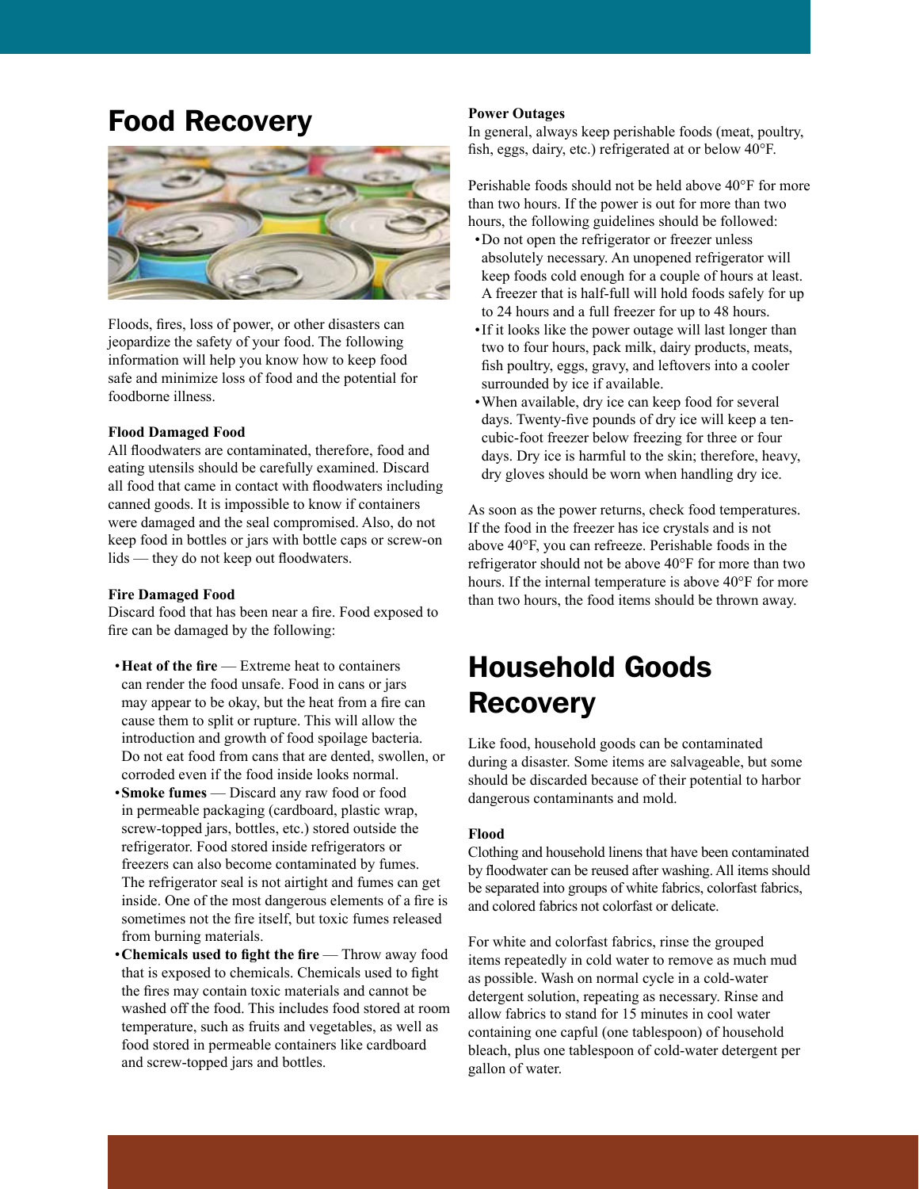## Food Recovery



Floods, fires, loss of power, or other disasters can jeopardize the safety of your food. The following information will help you know how to keep food safe and minimize loss of food and the potential for foodborne illness.

#### **Flood Damaged Food**

All floodwaters are contaminated, therefore, food and eating utensils should be carefully examined. Discard all food that came in contact with floodwaters including canned goods. It is impossible to know if containers were damaged and the seal compromised. Also, do not keep food in bottles or jars with bottle caps or screw-on lids — they do not keep out floodwaters.

#### **Fire Damaged Food**

Discard food that has been near a fire. Food exposed to fire can be damaged by the following:

- •**Heat of the fire** Extreme heat to containers can render the food unsafe. Food in cans or jars may appear to be okay, but the heat from a fire can cause them to split or rupture. This will allow the introduction and growth of food spoilage bacteria. Do not eat food from cans that are dented, swollen, or corroded even if the food inside looks normal. •**Smoke fumes** — Discard any raw food or food in permeable packaging (cardboard, plastic wrap, screw-topped jars, bottles, etc.) stored outside the refrigerator. Food stored inside refrigerators or freezers can also become contaminated by fumes. The refrigerator seal is not airtight and fumes can get inside. One of the most dangerous elements of a fire is sometimes not the fire itself, but toxic fumes released from burning materials.
- •**Chemicals used to fight the fire** Throw away food that is exposed to chemicals. Chemicals used to fight the fires may contain toxic materials and cannot be washed off the food. This includes food stored at room temperature, such as fruits and vegetables, as well as food stored in permeable containers like cardboard and screw-topped jars and bottles.

#### **Power Outages**

In general, always keep perishable foods (meat, poultry, fish, eggs, dairy, etc.) refrigerated at or below 40°F.

Perishable foods should not be held above 40°F for more than two hours. If the power is out for more than two hours, the following guidelines should be followed:

- •Do not open the refrigerator or freezer unless absolutely necessary. An unopened refrigerator will keep foods cold enough for a couple of hours at least. A freezer that is half-full will hold foods safely for up to 24 hours and a full freezer for up to 48 hours.
- •If it looks like the power outage will last longer than two to four hours, pack milk, dairy products, meats, fish poultry, eggs, gravy, and leftovers into a cooler surrounded by ice if available.
- •When available, dry ice can keep food for several days. Twenty-five pounds of dry ice will keep a tencubic-foot freezer below freezing for three or four days. Dry ice is harmful to the skin; therefore, heavy, dry gloves should be worn when handling dry ice.

As soon as the power returns, check food temperatures. If the food in the freezer has ice crystals and is not above 40°F, you can refreeze. Perishable foods in the refrigerator should not be above 40°F for more than two hours. If the internal temperature is above 40°F for more than two hours, the food items should be thrown away.

# Household Goods **Recovery**

Like food, household goods can be contaminated during a disaster. Some items are salvageable, but some should be discarded because of their potential to harbor dangerous contaminants and mold.

## **Flood**

Clothing and household linens that have been contaminated by floodwater can be reused after washing. All items should be separated into groups of white fabrics, colorfast fabrics, and colored fabrics not colorfast or delicate.

For white and colorfast fabrics, rinse the grouped items repeatedly in cold water to remove as much mud as possible. Wash on normal cycle in a cold-water detergent solution, repeating as necessary. Rinse and allow fabrics to stand for 15 minutes in cool water containing one capful (one tablespoon) of household bleach, plus one tablespoon of cold-water detergent per gallon of water.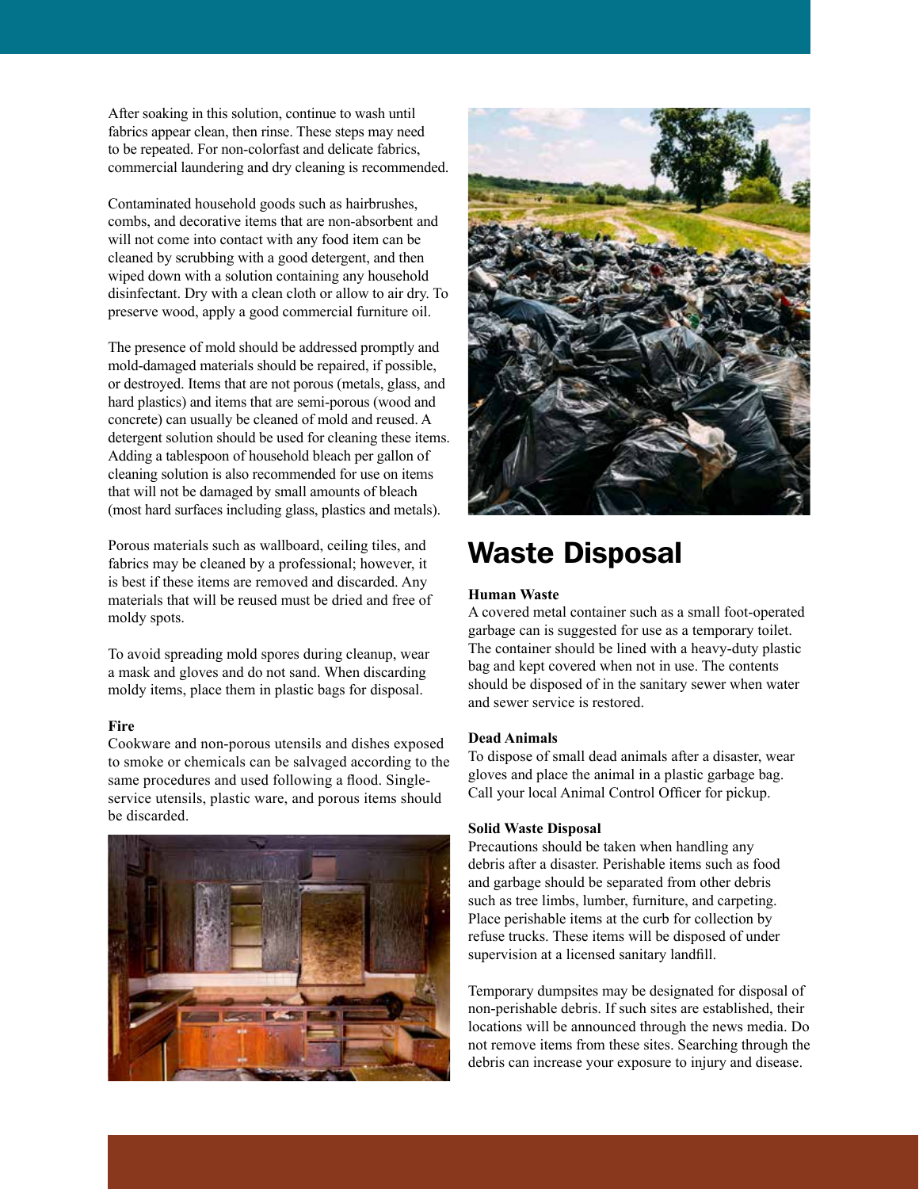After soaking in this solution, continue to wash until fabrics appear clean, then rinse. These steps may need to be repeated. For non-colorfast and delicate fabrics, commercial laundering and dry cleaning is recommended.

Contaminated household goods such as hairbrushes, combs, and decorative items that are non-absorbent and will not come into contact with any food item can be cleaned by scrubbing with a good detergent, and then wiped down with a solution containing any household disinfectant. Dry with a clean cloth or allow to air dry. To preserve wood, apply a good commercial furniture oil.

The presence of mold should be addressed promptly and mold-damaged materials should be repaired, if possible, or destroyed. Items that are not porous (metals, glass, and hard plastics) and items that are semi-porous (wood and concrete) can usually be cleaned of mold and reused. A detergent solution should be used for cleaning these items. Adding a tablespoon of household bleach per gallon of cleaning solution is also recommended for use on items that will not be damaged by small amounts of bleach (most hard surfaces including glass, plastics and metals).

Porous materials such as wallboard, ceiling tiles, and fabrics may be cleaned by a professional; however, it is best if these items are removed and discarded. Any materials that will be reused must be dried and free of moldy spots.

To avoid spreading mold spores during cleanup, wear a mask and gloves and do not sand. When discarding moldy items, place them in plastic bags for disposal.

## **Fire**

Cookware and non-porous utensils and dishes exposed to smoke or chemicals can be salvaged according to the same procedures and used following a flood. Singleservice utensils, plastic ware, and porous items should be discarded.





## Waste Disposal

## **Human Waste**

A covered metal container such as a small foot-operated garbage can is suggested for use as a temporary toilet. The container should be lined with a heavy-duty plastic bag and kept covered when not in use. The contents should be disposed of in the sanitary sewer when water and sewer service is restored.

### **Dead Animals**

To dispose of small dead animals after a disaster, wear gloves and place the animal in a plastic garbage bag. Call your local Animal Control Officer for pickup.

#### **Solid Waste Disposal**

Precautions should be taken when handling any debris after a disaster. Perishable items such as food and garbage should be separated from other debris such as tree limbs, lumber, furniture, and carpeting. Place perishable items at the curb for collection by refuse trucks. These items will be disposed of under supervision at a licensed sanitary landfill.

Temporary dumpsites may be designated for disposal of non-perishable debris. If such sites are established, their locations will be announced through the news media. Do not remove items from these sites. Searching through the debris can increase your exposure to injury and disease.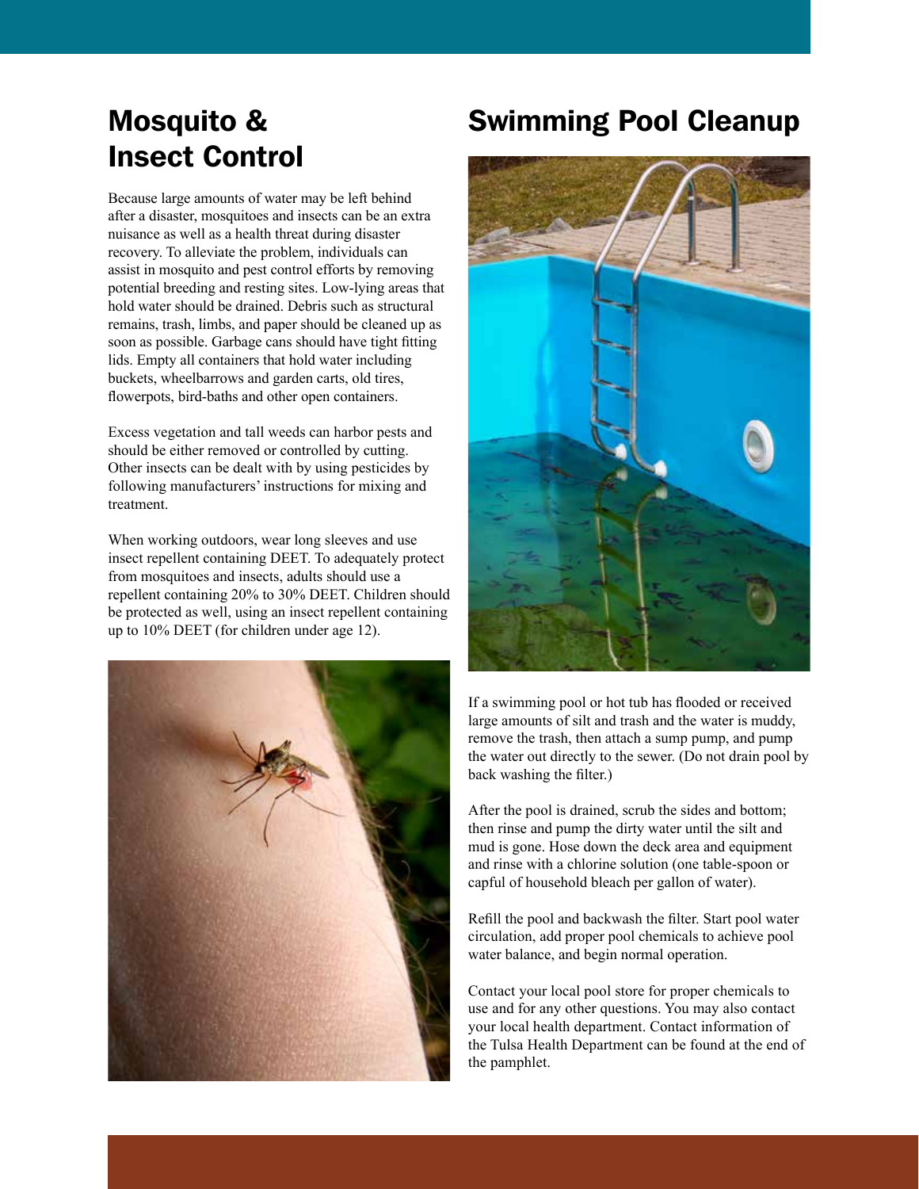# Mosquito & Insect Control

Because large amounts of water may be left behind after a disaster, mosquitoes and insects can be an extra nuisance as well as a health threat during disaster recovery. To alleviate the problem, individuals can assist in mosquito and pest control efforts by removing potential breeding and resting sites. Low-lying areas that hold water should be drained. Debris such as structural remains, trash, limbs, and paper should be cleaned up as soon as possible. Garbage cans should have tight fitting lids. Empty all containers that hold water including buckets, wheelbarrows and garden carts, old tires, flowerpots, bird-baths and other open containers.

Excess vegetation and tall weeds can harbor pests and should be either removed or controlled by cutting. Other insects can be dealt with by using pesticides by following manufacturers' instructions for mixing and treatment.

When working outdoors, wear long sleeves and use insect repellent containing DEET. To adequately protect from mosquitoes and insects, adults should use a repellent containing 20% to 30% DEET. Children should be protected as well, using an insect repellent containing up to 10% DEET (for children under age 12).



## Swimming Pool Cleanup



If a swimming pool or hot tub has flooded or received large amounts of silt and trash and the water is muddy, remove the trash, then attach a sump pump, and pump the water out directly to the sewer. (Do not drain pool by back washing the filter.)

After the pool is drained, scrub the sides and bottom; then rinse and pump the dirty water until the silt and mud is gone. Hose down the deck area and equipment and rinse with a chlorine solution (one table-spoon or capful of household bleach per gallon of water).

Refill the pool and backwash the filter. Start pool water circulation, add proper pool chemicals to achieve pool water balance, and begin normal operation.

Contact your local pool store for proper chemicals to use and for any other questions. You may also contact your local health department. Contact information of the Tulsa Health Department can be found at the end of the pamphlet.